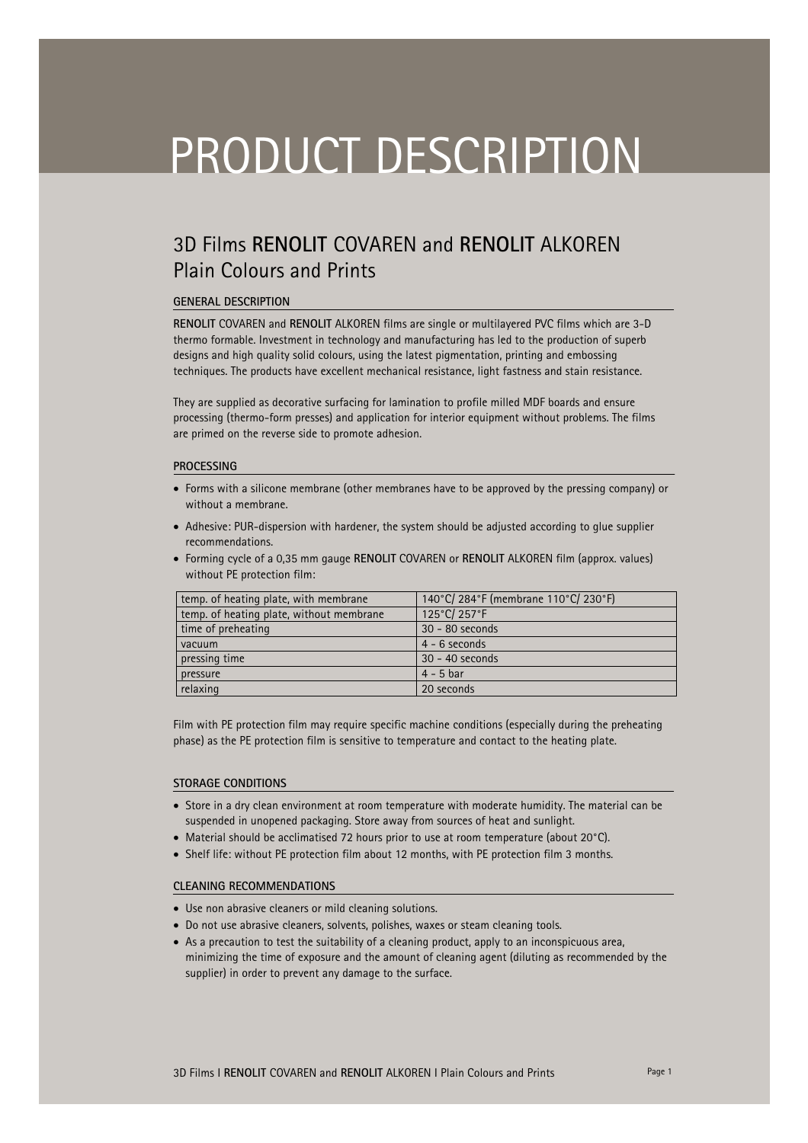# PRODUCT DESCRIPTION

## 3D Films **RENOLIT** COVAREN and **RENOLIT** ALKOREN Plain Colours and Prints

#### **GENERAL DESCRIPTION**

**RENOLIT** COVAREN and **RENOLIT** ALKOREN films are single or multilayered PVC films which are 3-D thermo formable. Investment in technology and manufacturing has led to the production of superb designs and high quality solid colours, using the latest pigmentation, printing and embossing techniques. The products have excellent mechanical resistance, light fastness and stain resistance.

They are supplied as decorative surfacing for lamination to profile milled MDF boards and ensure processing (thermo-form presses) and application for interior equipment without problems. The films are primed on the reverse side to promote adhesion.

#### **PROCESSING**

- Forms with a silicone membrane (other membranes have to be approved by the pressing company) or without a membrane.
- Adhesive: PUR-dispersion with hardener, the system should be adjusted according to glue supplier recommendations.
- Forming cycle of a 0,35 mm gauge **RENOLIT** COVAREN or **RENOLIT** ALKOREN film (approx. values) without PE protection film:

| temp. of heating plate, with membrane    | 140°C/284°F (membrane 110°C/230°F) |
|------------------------------------------|------------------------------------|
| temp. of heating plate, without membrane | 125°C/257°F                        |
| time of preheating                       | 30 - 80 seconds                    |
| vacuum                                   | $4 - 6$ seconds                    |
| pressing time                            | 30 - 40 seconds                    |
| pressure                                 | $4 - 5$ bar                        |
| relaxing                                 | 20 seconds                         |

Film with PE protection film may require specific machine conditions (especially during the preheating phase) as the PE protection film is sensitive to temperature and contact to the heating plate.

#### **STORAGE CONDITIONS**

- Store in a dry clean environment at room temperature with moderate humidity. The material can be suspended in unopened packaging. Store away from sources of heat and sunlight.
- Material should be acclimatised 72 hours prior to use at room temperature (about 20°C).
- Shelf life: without PE protection film about 12 months, with PE protection film 3 months.

#### **CLEANING RECOMMENDATIONS**

- Use non abrasive cleaners or mild cleaning solutions.
- Do not use abrasive cleaners, solvents, polishes, waxes or steam cleaning tools.
- As a precaution to test the suitability of a cleaning product, apply to an inconspicuous area, minimizing the time of exposure and the amount of cleaning agent (diluting as recommended by the supplier) in order to prevent any damage to the surface.